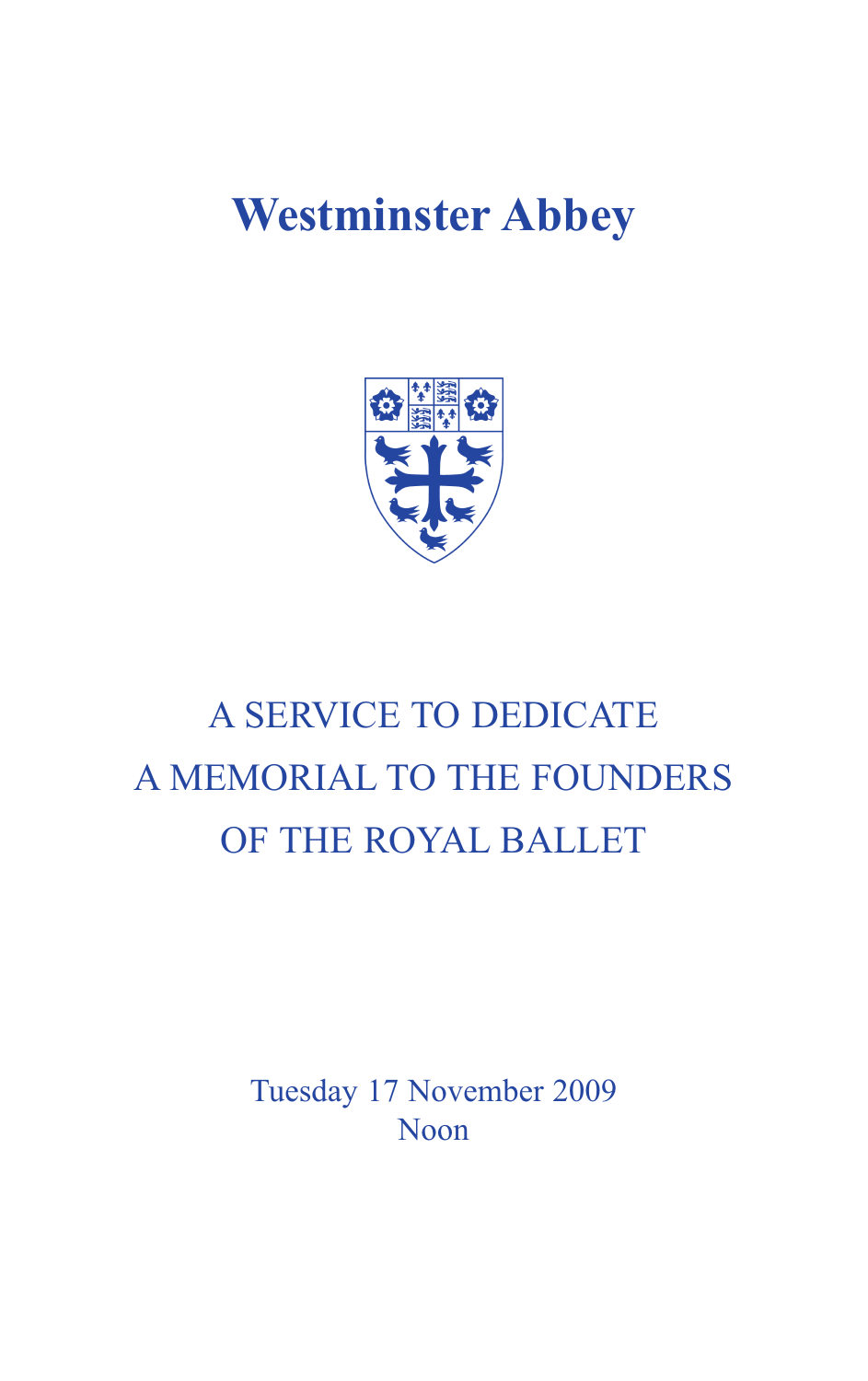# **Westminster Abbey**



# A SERVICE TO DEDICATE A MEMORIAL TO THE FOUNDERS OF THE ROYAL BALLET

Tuesday 17 November 2009 Noon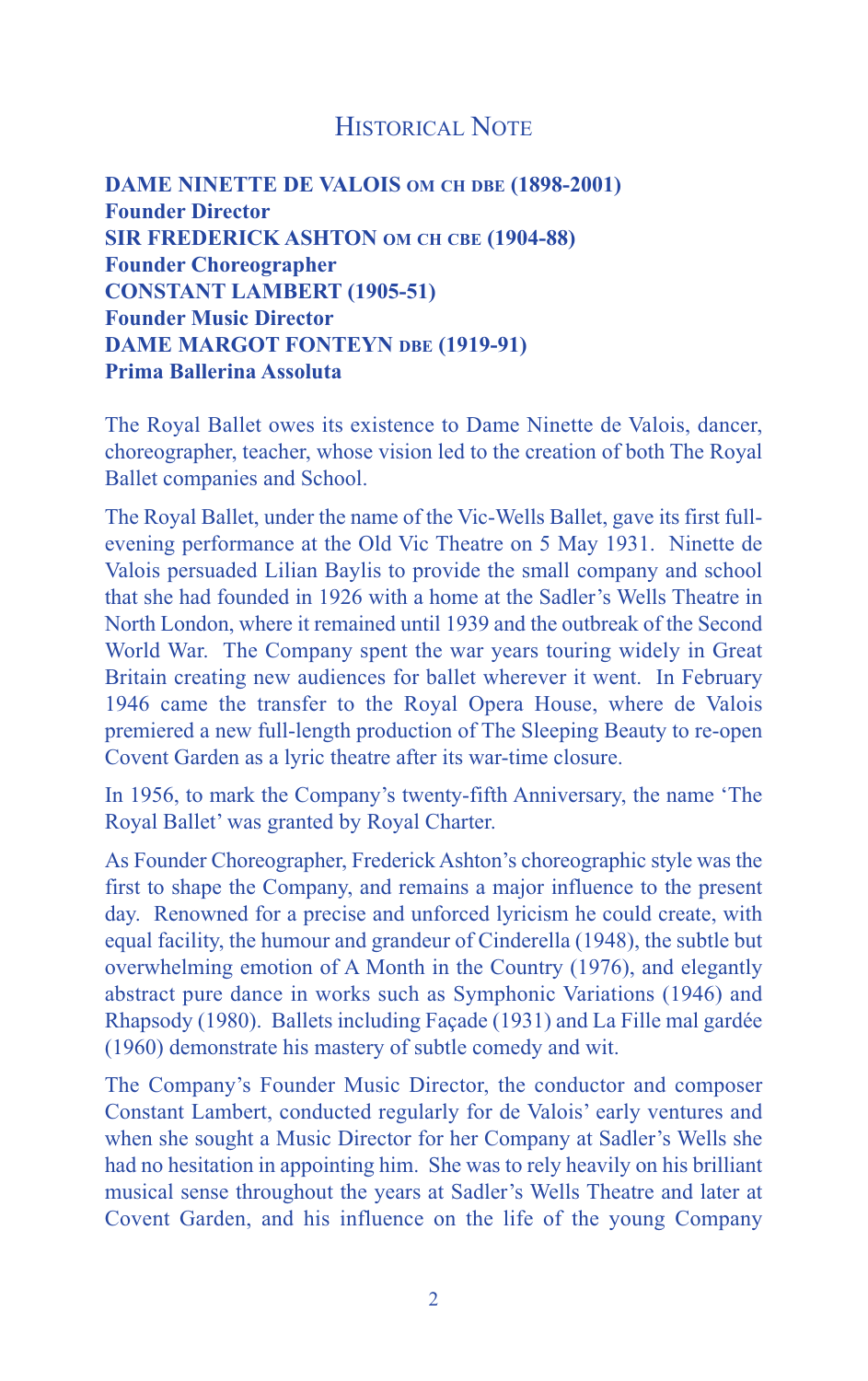# HISTORICAL NOTE

**DAME NINETTE DE VALOIS OM CH DBE (1898-2001) Founder Director SIR FREDERICK ASHTON OM CH CBE (1904-88) Founder Choreographer CONSTANT LAMBERT (1905-51) Founder Music Director DAME MARGOT FONTEYN DBE (1919-91) Prima Ballerina Assoluta**

The Royal Ballet owes its existence to Dame Ninette de Valois, dancer, choreographer, teacher, whose vision led to the creation of both The Royal Ballet companies and School.

The Royal Ballet, under the name of the Vic-Wells Ballet, gave its first fullevening performance at the Old Vic Theatre on 5 May 1931. Ninette de Valois persuaded Lilian Baylis to provide the small company and school that she had founded in 1926 with a home at the Sadler's Wells Theatre in North London, where it remained until 1939 and the outbreak of the Second World War. The Company spent the war years touring widely in Great Britain creating new audiences for ballet wherever it went. In February 1946 came the transfer to the Royal Opera House, where de Valois premiered a new full-length production of The Sleeping Beauty to re-open Covent Garden as a lyric theatre after its war-time closure.

In 1956, to mark the Company's twenty-fifth Anniversary, the name 'The Royal Ballet' was granted by Royal Charter.

As Founder Choreographer, Frederick Ashton's choreographic style was the first to shape the Company, and remains a major influence to the present day. Renowned for a precise and unforced lyricism he could create, with equal facility, the humour and grandeur of Cinderella (1948), the subtle but overwhelming emotion of A Month in the Country (1976), and elegantly abstract pure dance in works such as Symphonic Variations (1946) and Rhapsody (1980). Ballets including Façade (1931) and La Fille mal gardée (1960) demonstrate his mastery of subtle comedy and wit.

The Company's Founder Music Director, the conductor and composer Constant Lambert, conducted regularly for de Valois' early ventures and when she sought a Music Director for her Company at Sadler's Wells she had no hesitation in appointing him. She was to rely heavily on his brilliant musical sense throughout the years at Sadler's Wells Theatre and later at Covent Garden, and his influence on the life of the young Company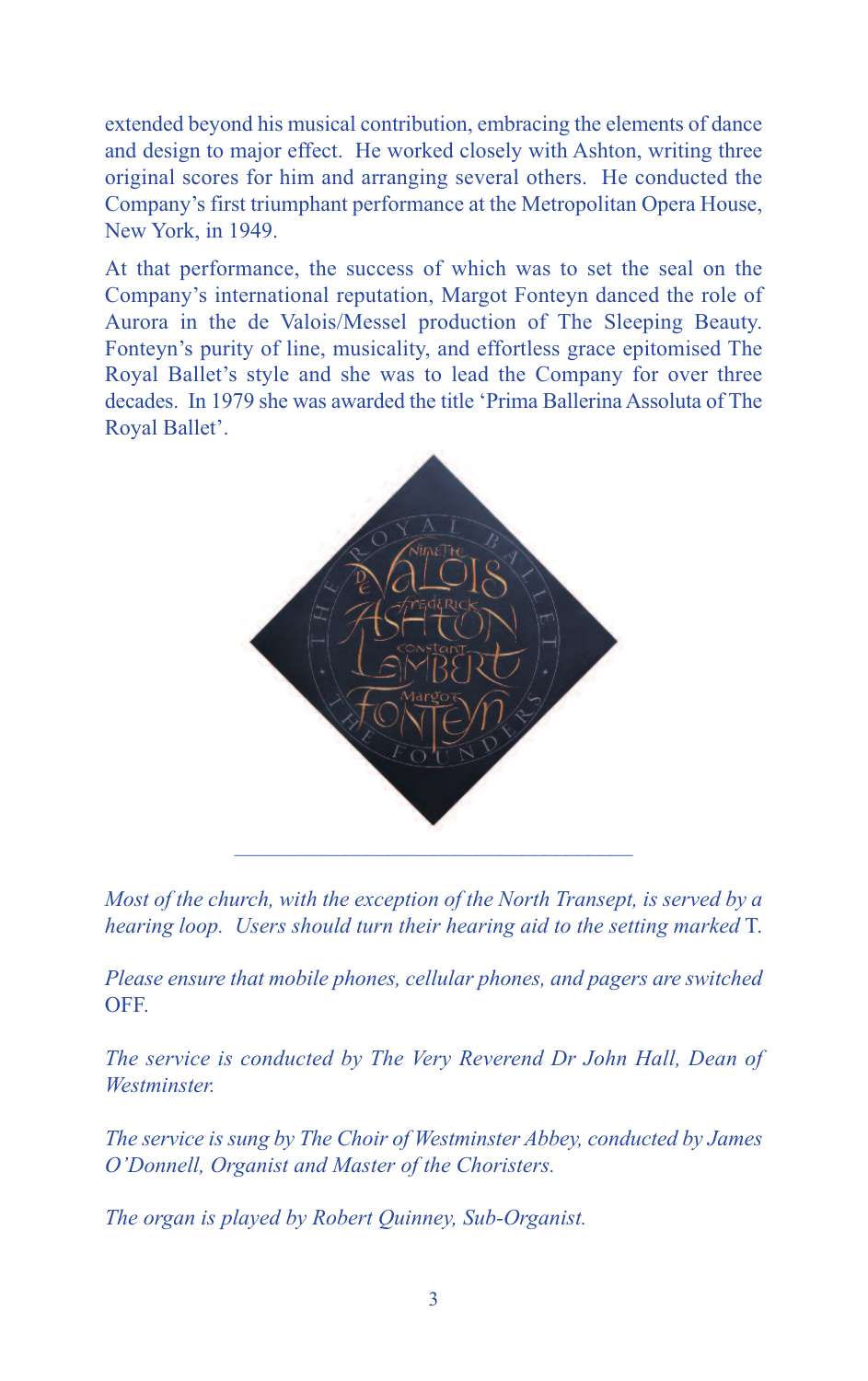extended beyond his musical contribution, embracing the elements of dance and design to major effect. He worked closely with Ashton, writing three original scores for him and arranging several others. He conducted the Company's first triumphant performance at the Metropolitan Opera House, New York, in 1949.

At that performance, the success of which was to set the seal on the Company's international reputation, Margot Fonteyn danced the role of Aurora in the de Valois/Messel production of The Sleeping Beauty. Fonteyn's purity of line, musicality, and effortless grace epitomised The Royal Ballet's style and she was to lead the Company for over three decades. In 1979 she was awarded the title 'Prima Ballerina Assoluta of The Royal Ballet'.



*Most of the church, with the exception of the North Transept, is served by a hearing loop. Users should turn their hearing aid to the setting marked* T.

*Please ensure that mobile phones, cellular phones, and pagers are switched* OFF.

*The service is conducted by The Very Reverend Dr John Hall, Dean of Westminster.*

*The service is sung by The Choir of Westminster Abbey, conducted by James O'Donnell, Organist and Master of the Choristers.*

*The organ is played by Robert Quinney, Sub-Organist.*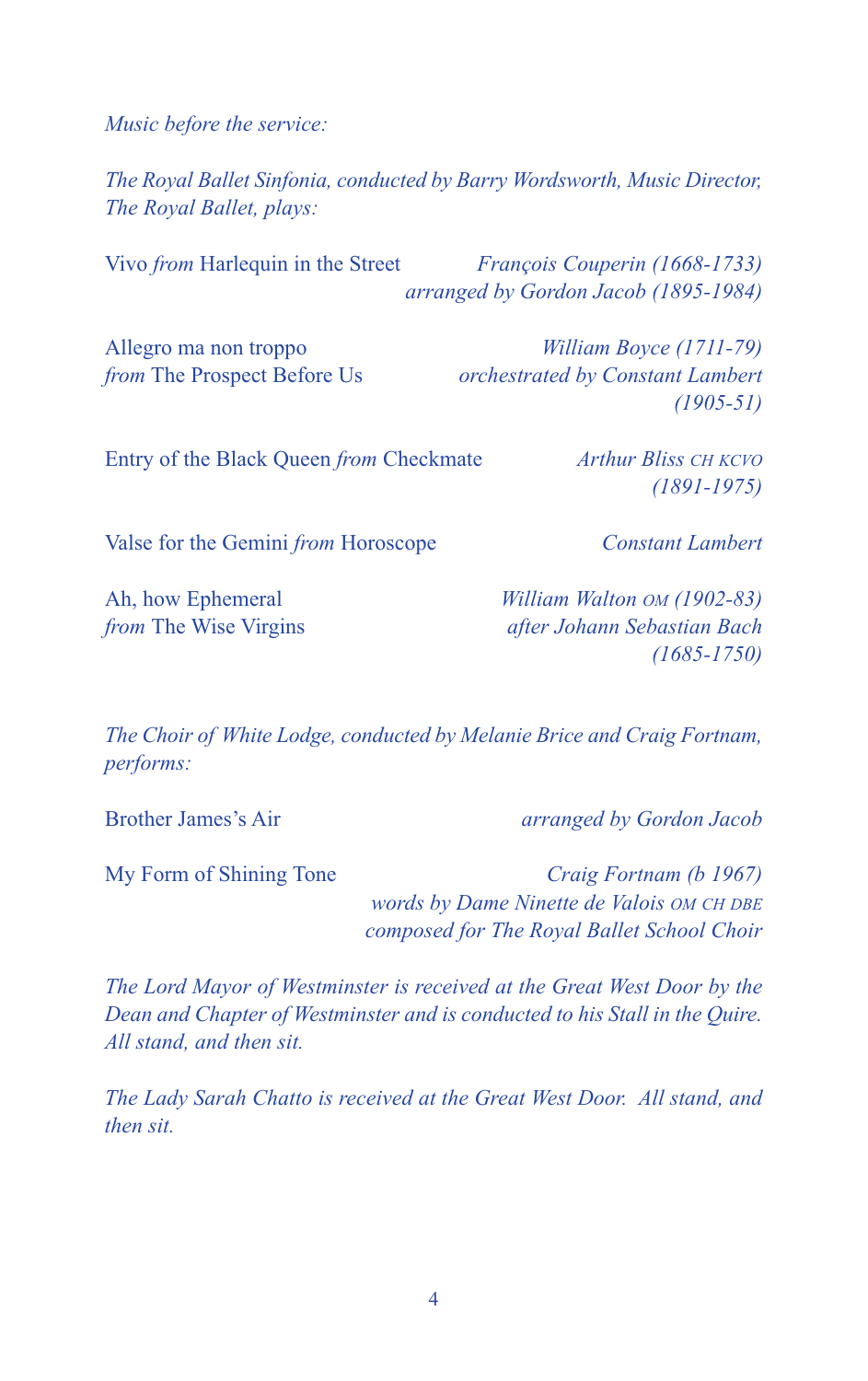*Music before the service:*

*The Royal Ballet Sinfonia, conducted by Barry Wordsworth, Music Director, The Royal Ballet, plays:*

Vivo *from* Harlequin in the Street *François Couperin (1668-1733) arranged by Gordon Jacob (1895-1984)* Allegro ma non troppo *William Boyce (1711-79) from* The Prospect Before Us *orchestrated by Constant Lambert*

Entry of the Black Queen *from* Checkmate *Arthur Bliss CH KCVO*

Valse for the Gemini *from* Horoscope *Constant Lambert*

*(1905-51)*

*(1891-1975)*

Ah, how Ephemeral *William Walton OM (1902-83)*

*from* The Wise Virgins *after Johann Sebastian Bach (1685-1750)*

*The Choir of White Lodge, conducted by Melanie Brice and Craig Fortnam, performs:*

Brother James's Air *arranged by Gordon Jacob*

My Form of Shining Tone *Craig Fortnam (b 1967)*

*words by Dame Ninette de Valois OM CH DBE composed for The Royal Ballet School Choir*

*The Lord Mayor of Westminster is received at the Great West Door by the Dean and Chapter of Westminster and is conducted to his Stall in the Quire. All stand, and then sit.*

*The Lady Sarah Chatto is received at the Great West Door. All stand, and then sit.*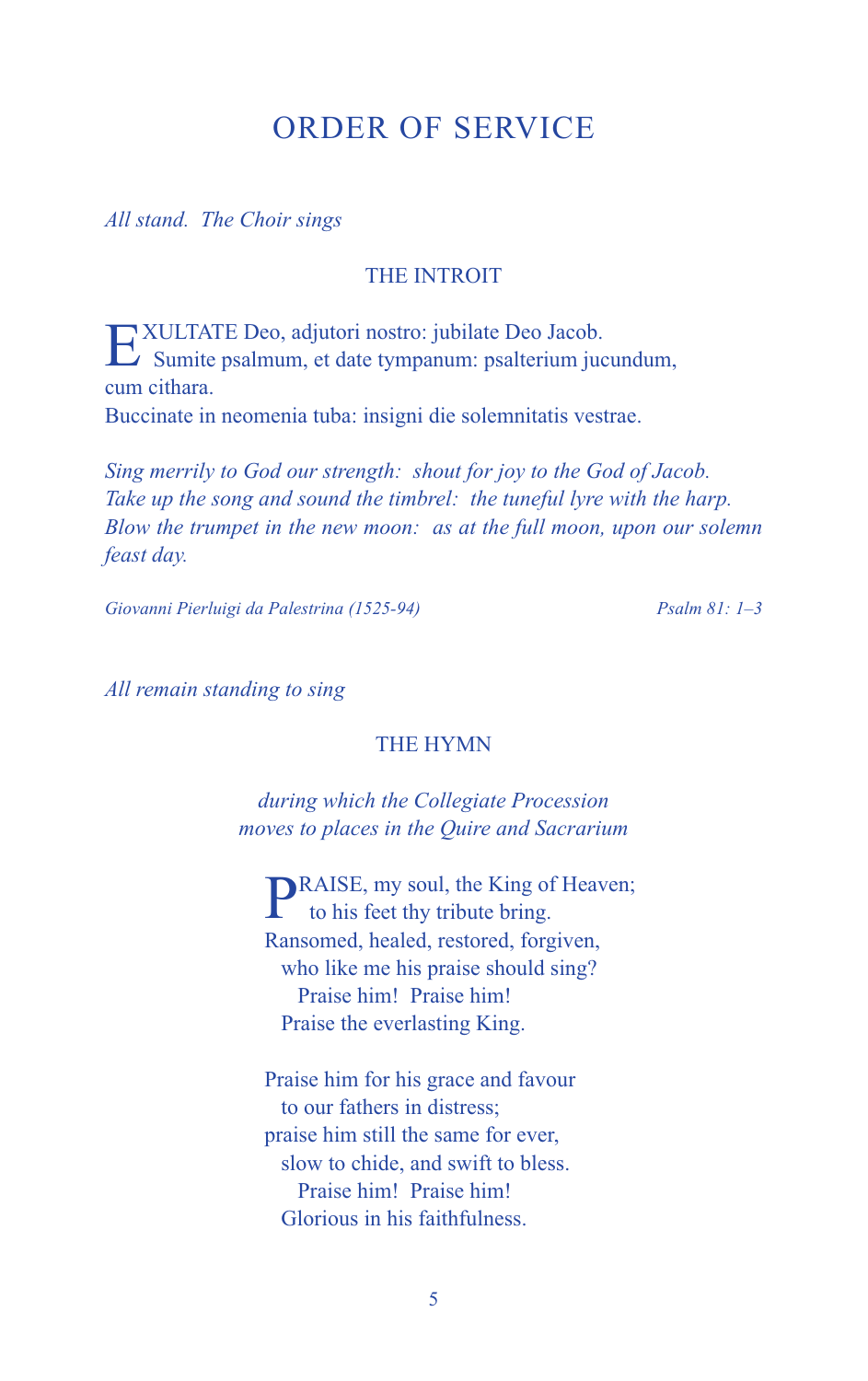# ORDER OF SERVICE

*All stand. The Choir sings*

#### THE INTROIT

EXULTATE Deo, adjutori nostro: jubilate Deo Jacob.  $\sum$  Sumite psalmum, et date tympanum: psalterium jucundum, cum cithara. Buccinate in neomenia tuba: insigni die solemnitatis vestrae.

*Sing merrily to God our strength: shout for joy to the God of Jacob. Take up the song and sound the timbrel: the tuneful lyre with the harp. Blow the trumpet in the new moon: as at the full moon, upon our solemn feast day.*

*Giovanni Pierluigi da Palestrina (1525-94) Psalm 81: 1–3*

*All remain standing to sing*

#### THE HYMN

*during which the Collegiate Procession moves to places in the Quire and Sacrarium*

**PRAISE**, my soul, the King of Heaven; to his feet thy tribute bring. Ransomed, healed, restored, forgiven, who like me his praise should sing? Praise him! Praise him! Praise the everlasting King.

Praise him for his grace and favour to our fathers in distress; praise him still the same for ever, slow to chide, and swift to bless. Praise him! Praise him! Glorious in his faithfulness.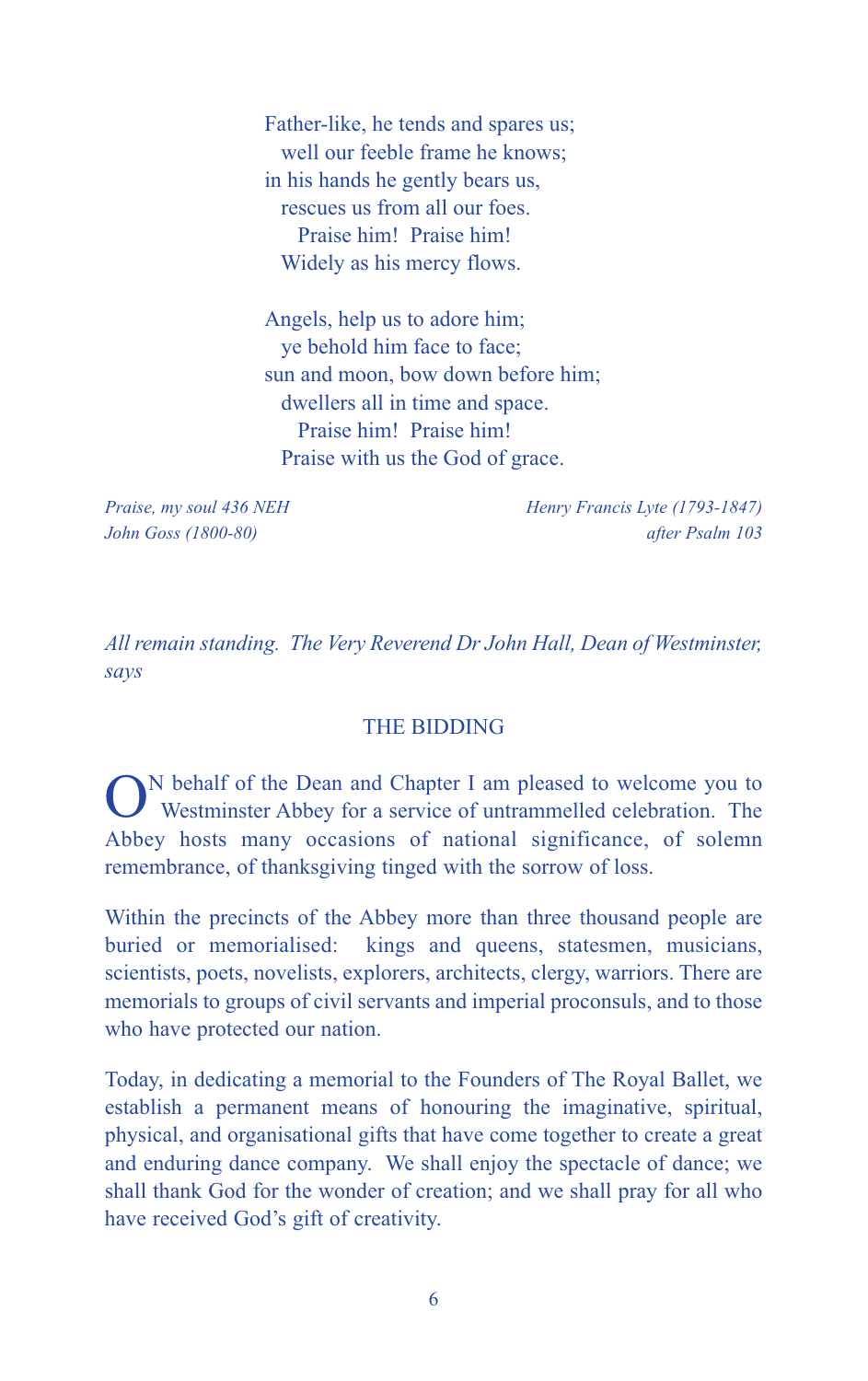Father-like, he tends and spares us; well our feeble frame he knows; in his hands he gently bears us, rescues us from all our foes. Praise him! Praise him! Widely as his mercy flows.

Angels, help us to adore him; ye behold him face to face; sun and moon, bow down before him; dwellers all in time and space. Praise him! Praise him! Praise with us the God of grace.

*Praise, my soul 436 NEH Henry Francis Lyte (1793-1847) John Goss (1800-80) after Psalm 103*

*All remain standing. The Very Reverend Dr John Hall, Dean of Westminster, says*

#### THE BIDDING

ON behalf of the Dean and Chapter <sup>I</sup> am pleased to welcome you to Westminster Abbey for a service of untrammelled celebration. The Abbey hosts many occasions of national significance, of solemn remembrance, of thanksgiving tinged with the sorrow of loss.

Within the precincts of the Abbey more than three thousand people are buried or memorialised: kings and queens, statesmen, musicians, scientists, poets, novelists, explorers, architects, clergy, warriors. There are memorials to groups of civil servants and imperial proconsuls, and to those who have protected our nation.

Today, in dedicating a memorial to the Founders of The Royal Ballet, we establish a permanent means of honouring the imaginative, spiritual, physical, and organisational gifts that have come together to create a great and enduring dance company. We shall enjoy the spectacle of dance; we shall thank God for the wonder of creation; and we shall pray for all who have received God's gift of creativity.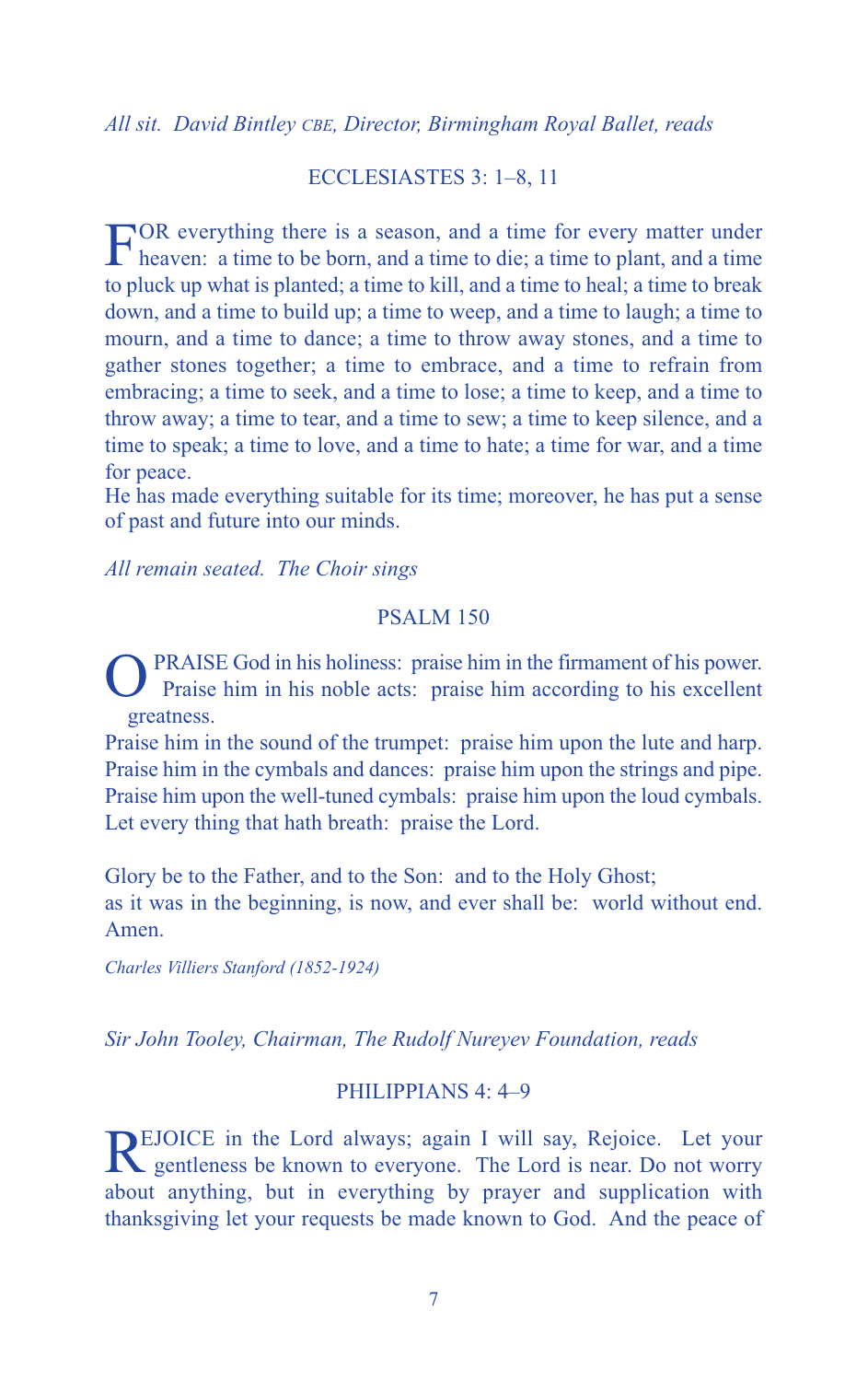*All sit. David Bintley CBE, Director, Birmingham Royal Ballet, reads*

#### ECCLESIASTES 3: 1–8, 11

FOR everything there is <sup>a</sup> season, and <sup>a</sup> time for every matter under heaven: a time to be born, and a time to die; a time to plant, and a time to pluck up what is planted; a time to kill, and a time to heal; a time to break down, and a time to build up; a time to weep, and a time to laugh; a time to mourn, and a time to dance; a time to throw away stones, and a time to gather stones together; a time to embrace, and a time to refrain from embracing; a time to seek, and a time to lose; a time to keep, and a time to throw away; a time to tear, and a time to sew; a time to keep silence, and a time to speak; a time to love, and a time to hate; a time for war, and a time for peace.

He has made everything suitable for its time; moreover, he has put a sense of past and future into our minds.

*All remain seated. The Choir sings*

#### PSALM 150

PRAISE God in his holiness: praise him in the firmament of his power. Praise him in his noble acts: praise him according to his excellent greatness.

Praise him in the sound of the trumpet: praise him upon the lute and harp. Praise him in the cymbals and dances: praise him upon the strings and pipe. Praise him upon the well-tuned cymbals: praise him upon the loud cymbals. Let every thing that hath breath: praise the Lord.

Glory be to the Father, and to the Son: and to the Holy Ghost; as it was in the beginning, is now, and ever shall be: world without end. Amen.

*Charles Villiers Stanford (1852-1924)*

*Sir John Tooley, Chairman, The Rudolf Nureyev Foundation, reads*

#### PHILIPPIANS 4: 4–9

REJOICE in the Lord always; again I will say, Rejoice. Let your gentleness be known to everyone. The Lord is near. Do not worry about anything, but in everything by prayer and supplication with thanksgiving let your requests be made known to God. And the peace of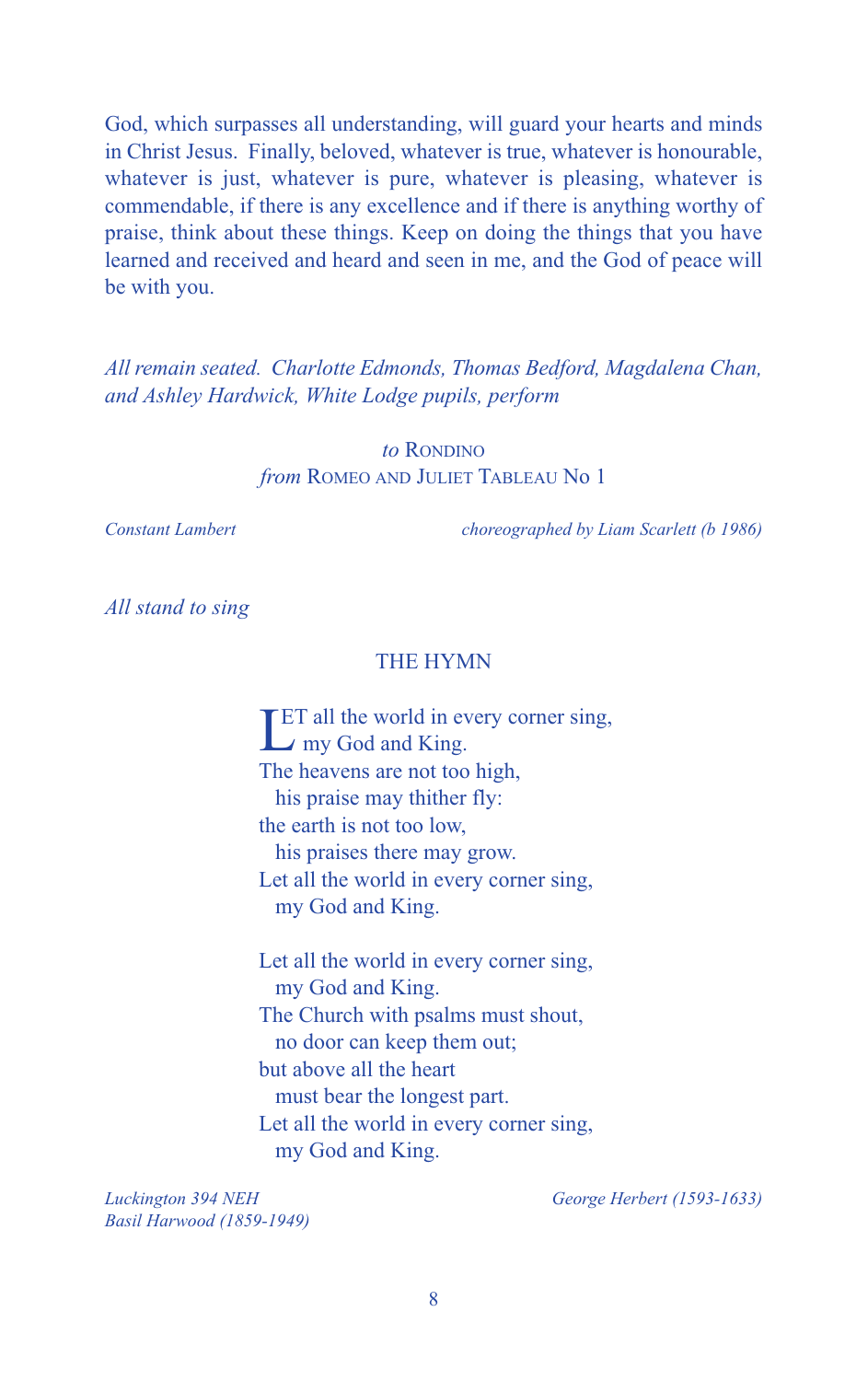God, which surpasses all understanding, will guard your hearts and minds in Christ Jesus. Finally, beloved, whatever is true, whatever is honourable, whatever is just, whatever is pure, whatever is pleasing, whatever is commendable, if there is any excellence and if there is anything worthy of praise, think about these things. Keep on doing the things that you have learned and received and heard and seen in me, and the God of peace will be with you.

*All remain seated. Charlotte Edmonds, Thomas Bedford, Magdalena Chan, and Ashley Hardwick, White Lodge pupils, perform*

> *to* RONDINO *from* ROMEO AND JULIET TABLEAU No 1

*Constant Lambert choreographed by Liam Scarlett (b 1986)*

*All stand to sing*

#### THE HYMN

**LET** all the world in ev **ET all the world in every corner sing,** The heavens are not too high, his praise may thither fly: the earth is not too low, his praises there may grow. Let all the world in every corner sing, my God and King.

Let all the world in every corner sing, my God and King. The Church with psalms must shout, no door can keep them out; but above all the heart must bear the longest part. Let all the world in every corner sing, my God and King.

*Luckington 394 NEH George Herbert (1593-1633) Basil Harwood (1859-1949)*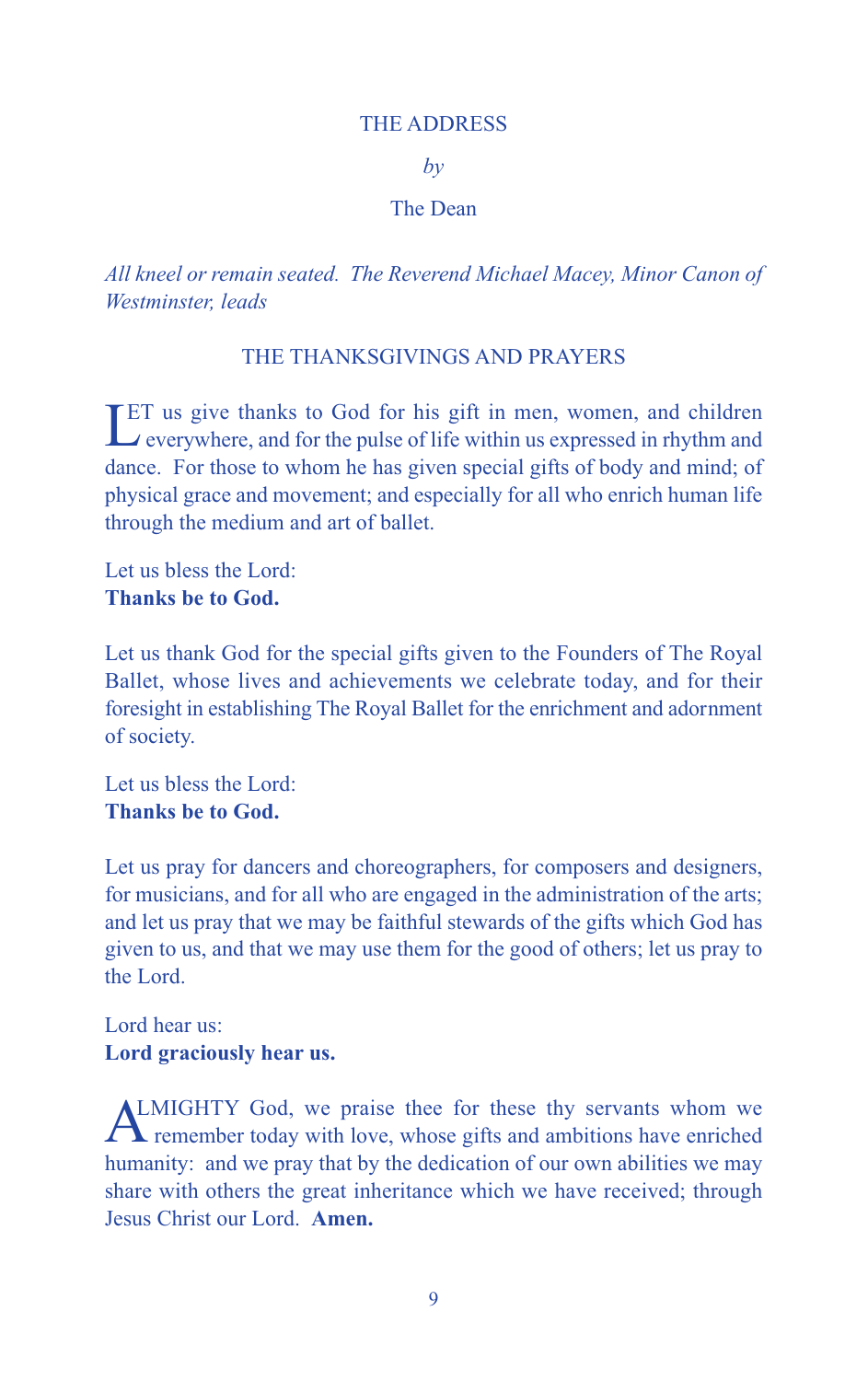#### THE ADDRESS

*by*

#### The Dean

*All kneel or remain seated. The Reverend Michael Macey, Minor Canon of Westminster, leads*

#### THE THANKSGIVINGS AND PRAYERS

LET us give thanks to God for his gift in men, women, and children<br>
verywhere, and for the pulse of life within us expressed in rhythm and  $\rightarrow$  everywhere, and for the pulse of life within us expressed in rhythm and dance. For those to whom he has given special gifts of body and mind; of physical grace and movement; and especially for all who enrich human life through the medium and art of ballet.

Let us bless the Lord: **Thanks be to God.**

Let us thank God for the special gifts given to the Founders of The Royal Ballet, whose lives and achievements we celebrate today, and for their foresight in establishing The Royal Ballet for the enrichment and adornment of society.

Let us bless the Lord: **Thanks be to God.**

Let us pray for dancers and choreographers, for composers and designers, for musicians, and for all who are engaged in the administration of the arts; and let us pray that we may be faithful stewards of the gifts which God has given to us, and that we may use them for the good of others; let us pray to the Lord.

### Lord hear us: **Lord graciously hear us.**

ALMIGHTY God, we praise thee for these thy servants whom we remember today with love, whose gifts and ambitions have enriched humanity: and we pray that by the dedication of our own abilities we may share with others the great inheritance which we have received; through Jesus Christ our Lord. **Amen.**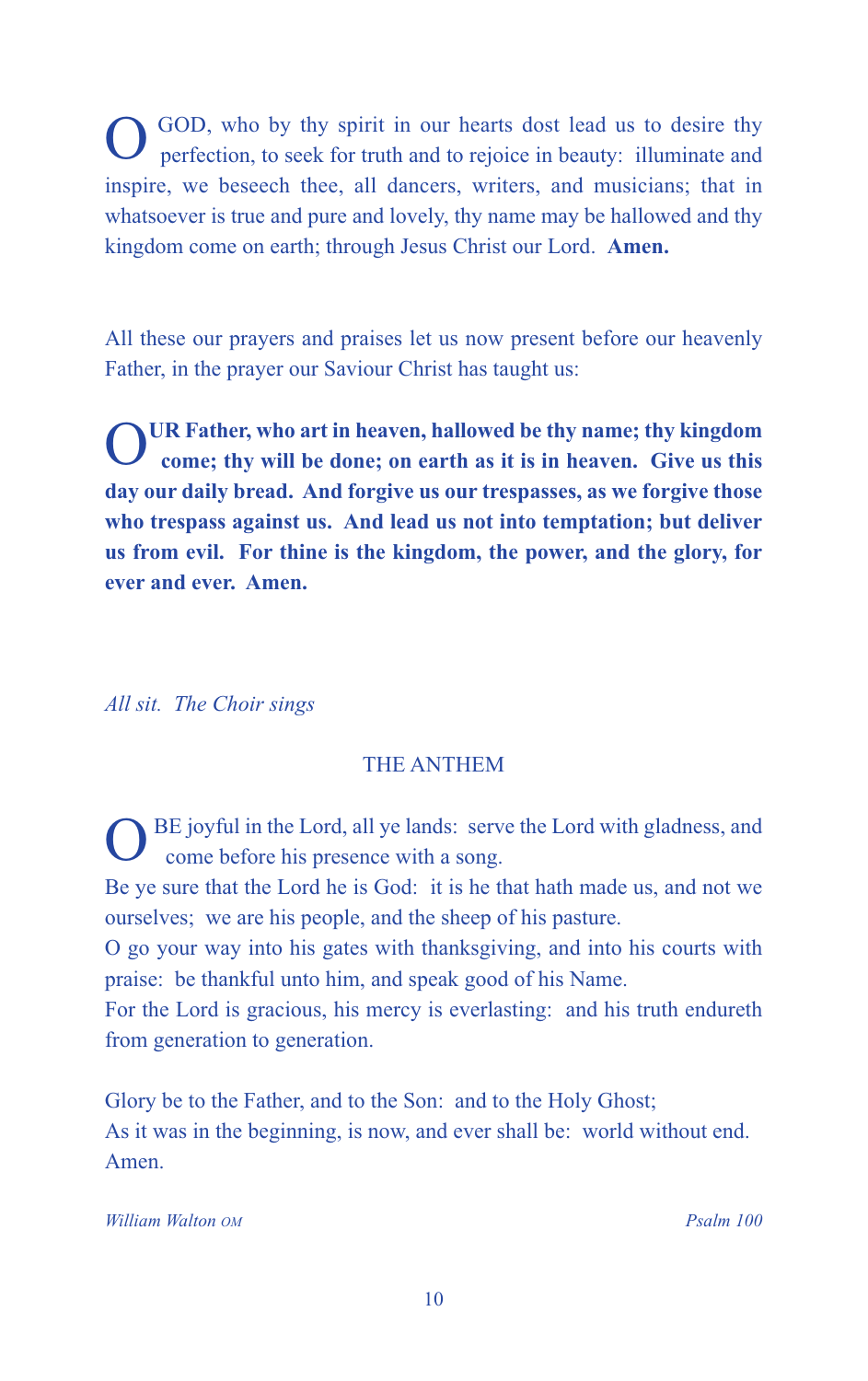OGOD, who by thy spirit in our hearts dost lead us to desire thy perfection, to seek for truth and to rejoice in beauty: illuminate and inspire, we beseech thee, all dancers, writers, and musicians; that in whatsoever is true and pure and lovely, thy name may be hallowed and thy kingdom come on earth; through Jesus Christ our Lord. **Amen.**

All these our prayers and praises let us now present before our heavenly Father, in the prayer our Saviour Christ has taught us:

OUR Father, who art in heaven, hallowed be thy name; thy kingdom<br>come; thy will be done; on earth as it is in heaven. Give us this **day our daily bread. And forgive us our trespasses, as we forgive those who trespass against us. And lead us not into temptation; but deliver us from evil. For thine is the kingdom, the power, and the glory, for ever and ever. Amen.**

*All sit. The Choir sings*

# THE ANTHEM

BE joyful in the Lord, all ye lands: serve the Lord with gladness, and come before his presence with a song.

Be ye sure that the Lord he is God: it is he that hath made us, and not we ourselves; we are his people, and the sheep of his pasture.

O go your way into his gates with thanksgiving, and into his courts with praise: be thankful unto him, and speak good of his Name.

For the Lord is gracious, his mercy is everlasting: and his truth endureth from generation to generation.

Glory be to the Father, and to the Son: and to the Holy Ghost; As it was in the beginning, is now, and ever shall be: world without end. Amen.

*William Walton OM Psalm 100*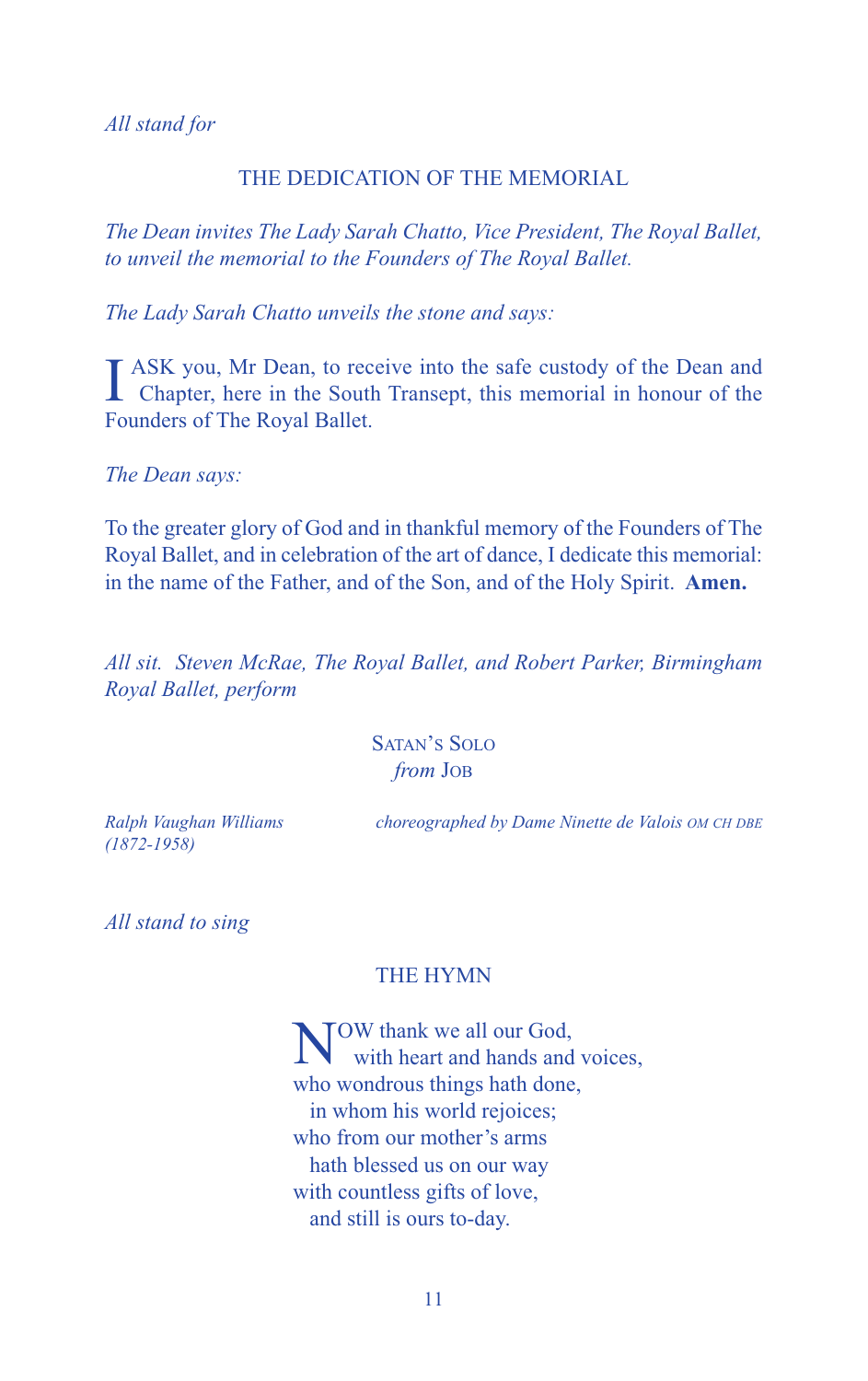*All stand for*

#### THE DEDICATION OF THE MEMORIAL

*The Dean invites The Lady Sarah Chatto, Vice President, The Royal Ballet, to unveil the memorial to the Founders of The Royal Ballet.*

*The Lady Sarah Chatto unveils the stone and says:*

I ASK you, Mr Dean, to receive into the safe custody of the Dean and Chapter, here in the South Transept, this memorial in honour of the ASK you, Mr Dean, to receive into the safe custody of the Dean and Founders of The Royal Ballet.

*The Dean says:*

To the greater glory of God and in thankful memory of the Founders of The Royal Ballet, and in celebration of the art of dance, I dedicate this memorial: in the name of the Father, and of the Son, and of the Holy Spirit. **Amen.**

*All sit. Steven McRae, The Royal Ballet, and Robert Parker, Birmingham Royal Ballet, perform*

> SATAN'S SOLO *from* JOB

*(1872-1958)*

*Ralph Vaughan Williams choreographed by Dame Ninette de Valois OM CH DBE*

*All stand to sing*

#### THE HYMN

TOW thank we all our God, with heart and hands and voices, who wondrous things hath done, in whom his world rejoices; who from our mother's arms hath blessed us on our way with countless gifts of love, and still is ours to-day.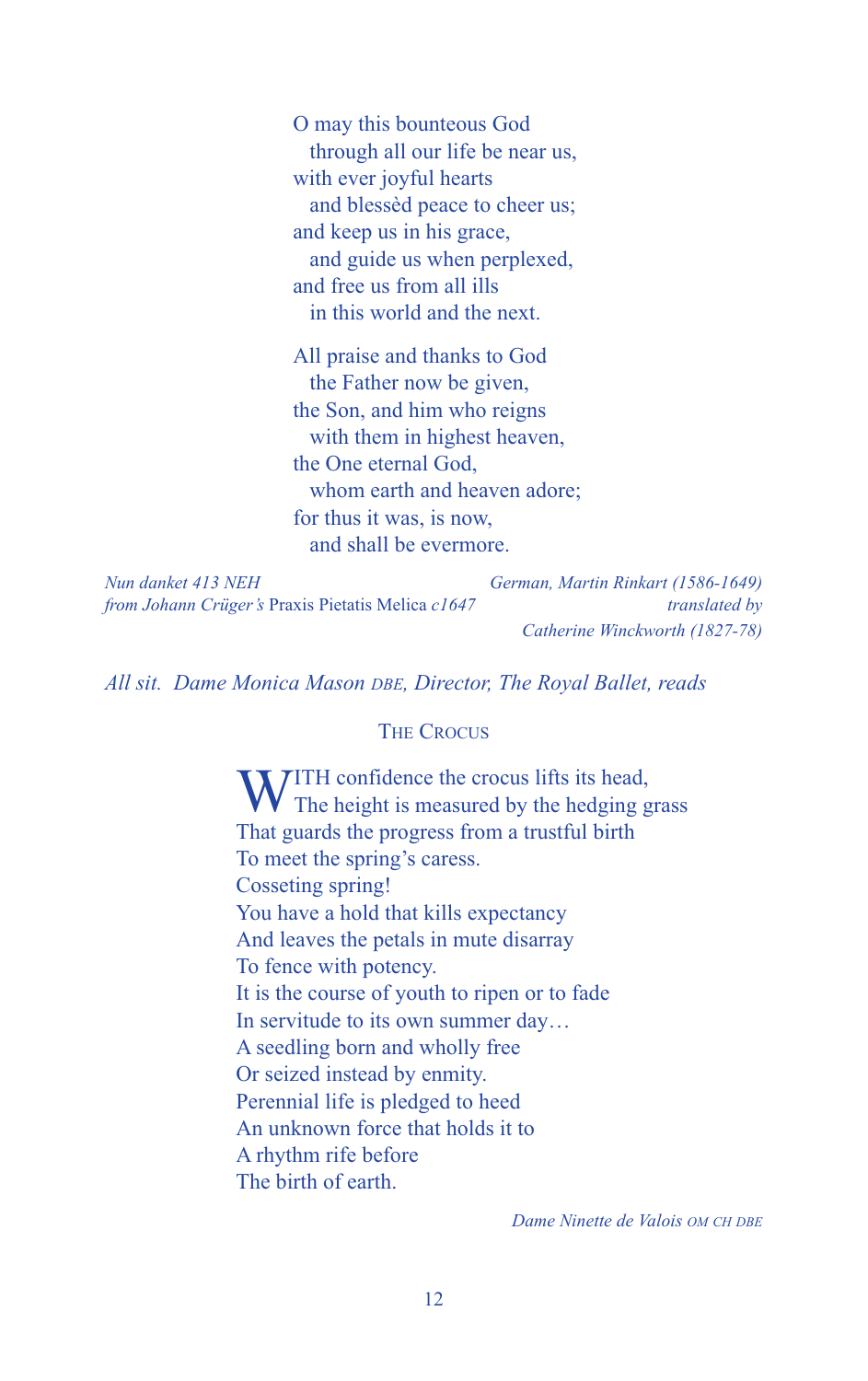O may this bounteous God through all our life be near us, with ever joyful hearts and blessèd peace to cheer us; and keep us in his grace, and guide us when perplexed, and free us from all ills in this world and the next.

All praise and thanks to God the Father now be given, the Son, and him who reigns with them in highest heaven, the One eternal God, whom earth and heaven adore; for thus it was, is now, and shall be evermore.

| Nun danket 413 NEH                                       | German, Martin Rinkart (1586-1649) |
|----------------------------------------------------------|------------------------------------|
| <i>from Johann Crüger's Praxis Pietatis Melica c1647</i> | translated by                      |
|                                                          | Catherine Winckworth (1827-78)     |

*All sit. Dame Monica Mason DBE, Director, The Royal Ballet, reads*

#### **THE CROCUS**

WITH confidence the crocus lifts its head, The height is measured by the hedging grass That guards the progress from a trustful birth To meet the spring's caress. Cosseting spring! You have a hold that kills expectancy And leaves the petals in mute disarray To fence with potency. It is the course of youth to ripen or to fade In servitude to its own summer day… A seedling born and wholly free Or seized instead by enmity. Perennial life is pledged to heed An unknown force that holds it to A rhythm rife before The birth of earth.

*Dame Ninette de Valois OM CH DBE*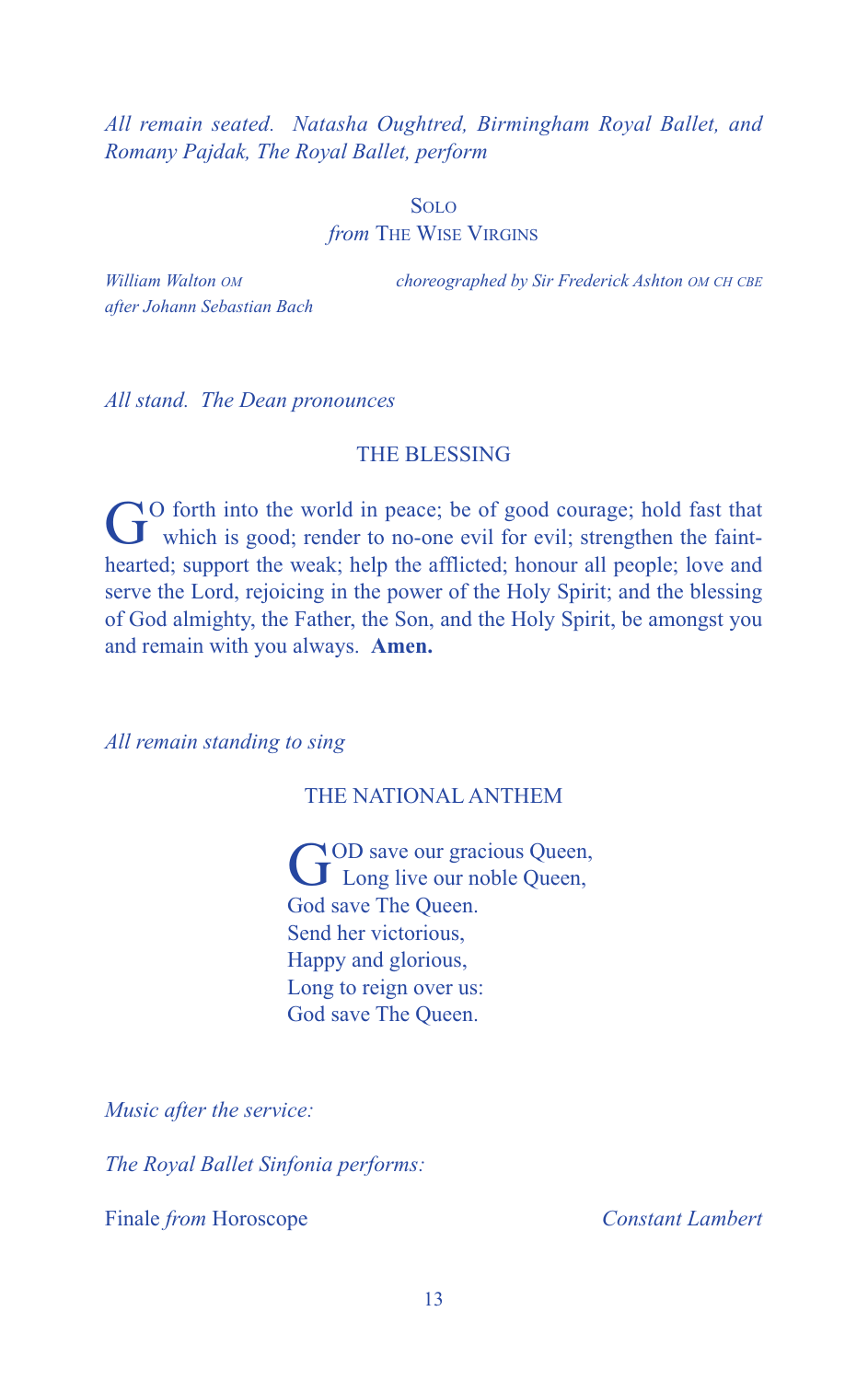*All remain seated. Natasha Oughtred, Birmingham Royal Ballet, and Romany Pajdak, The Royal Ballet, perform*

#### SOLO

*from* THE WISE VIRGINS

*after Johann Sebastian Bach*

*William Walton OM choreographed by Sir Frederick Ashton OM CH CBE*

*All stand. The Dean pronounces*

#### THE BLESSING

GO forth into the world in peace; be of good courage; hold fast that which is good; render to no-one evil for evil; strengthen the fainthearted; support the weak; help the afflicted; honour all people; love and serve the Lord, rejoicing in the power of the Holy Spirit; and the blessing of God almighty, the Father, the Son, and the Holy Spirit, be amongst you and remain with you always. **Amen.**

*All remain standing to sing*

# THE NATIONAL ANTHEM

GOD save our gracious Queen, Long live our noble Queen, God save The Queen. Send her victorious, Happy and glorious, Long to reign over us: God save The Queen.

*Music after the service:*

*The Royal Ballet Sinfonia performs:*

Finale *from* Horoscope *Constant Lambert*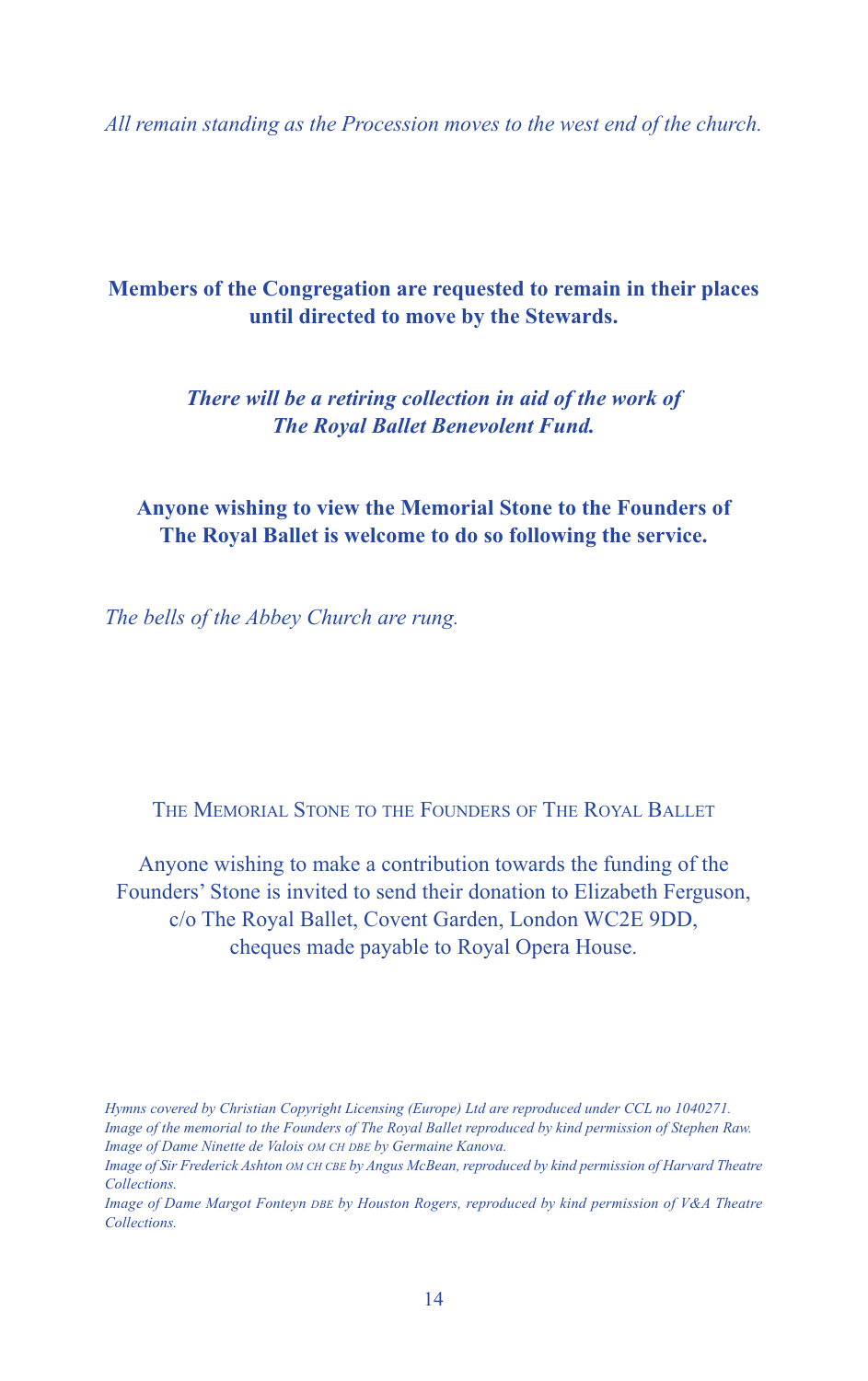*All remain standing as the Procession moves to the west end of the church.*

# **Members of the Congregation are requested to remain in their places until directed to move by the Stewards.**

*There will be a retiring collection in aid of the work of The Royal Ballet Benevolent Fund.*

**Anyone wishing to view the Memorial Stone to the Founders of The Royal Ballet is welcome to do so following the service.**

*The bells of the Abbey Church are rung.*

THE MEMORIAL STONE TO THE FOUNDERS OF THE ROYAL BALLET

Anyone wishing to make a contribution towards the funding of the Founders' Stone is invited to send their donation to Elizabeth Ferguson, c/o The Royal Ballet, Covent Garden, London WC2E 9DD, cheques made payable to Royal Opera House.

*Hymns covered by Christian Copyright Licensing (Europe) Ltd are reproduced under CCL no 1040271.* Image of the memorial to the Founders of The Royal Ballet reproduced by kind permission of Stephen Raw. *Image of Dame Ninette de Valois OM CH DBE by Germaine Kanova.*

Image of Sir Frederick Ashton OM CH CBE by Angus McBean, reproduced by kind permission of Harvard Theatre *Collections.*

*Image of Dame Margot Fonteyn DBE by Houston Rogers, reproduced by kind permission of V&A Theatre Collections.*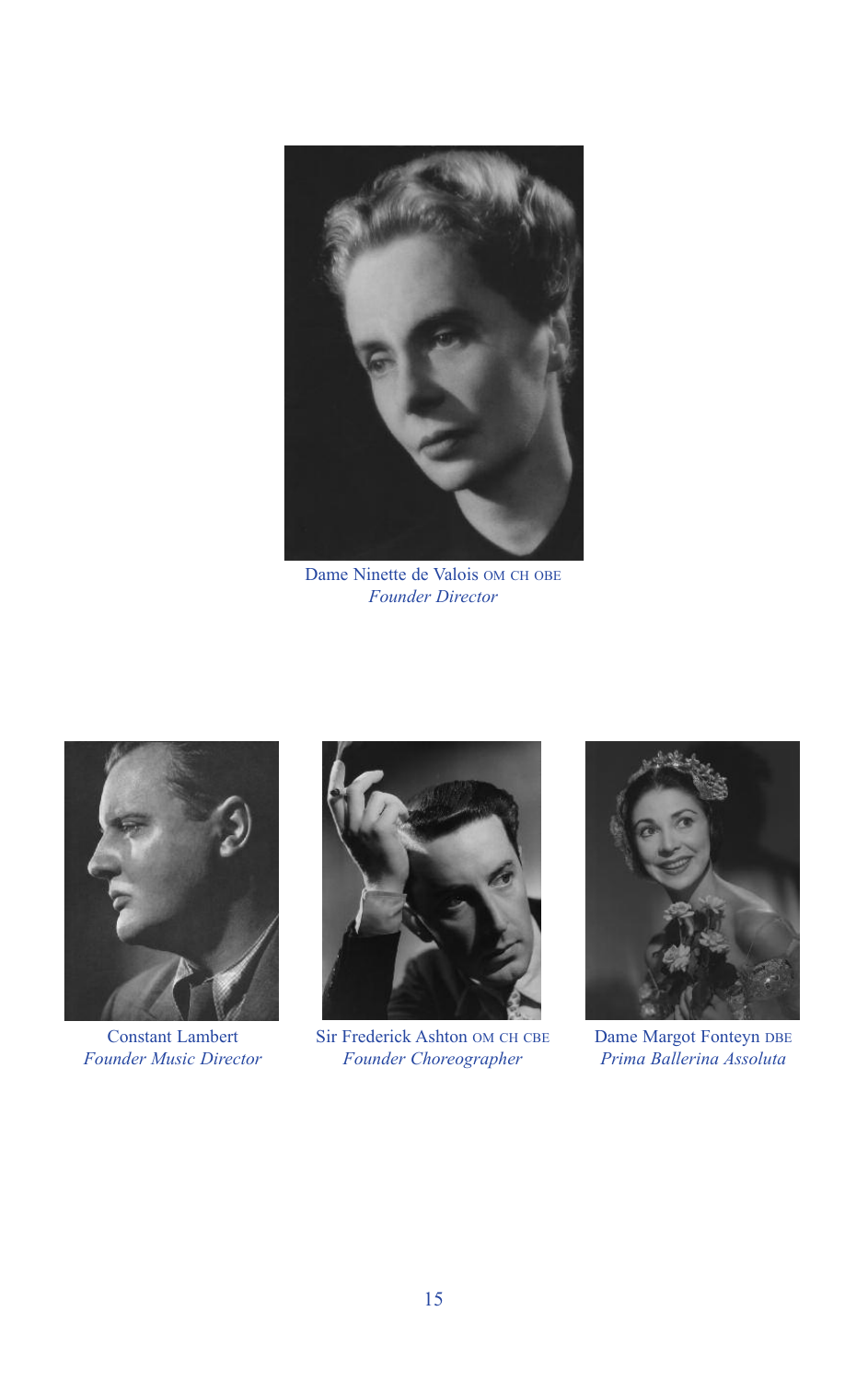

Dame Ninette de Valois OM CH OBE *Founder Director*



Constant Lambert *Founder Music Director*



Sir Frederick Ashton OM CH CBE *Founder Choreographer*



Dame Margot Fonteyn DBE *Prima Ballerina Assoluta*